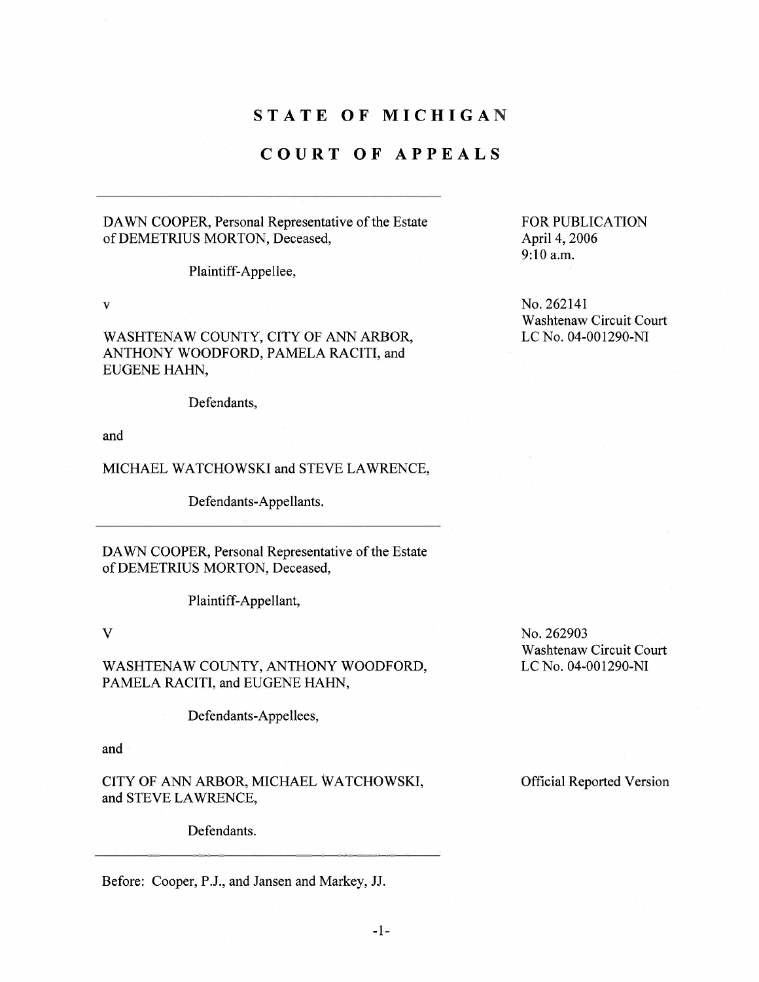## STATE OF MICHIGAN

# COURT OF APPEALS

### DA WN COOPER, Personal Representative of the Estate of DEMETRIUS MORTON, Deceased,

Plaintiff-Appellee,

v

WASHTENAW COUNTY, CITY OF ANN ARBOR, ANTHONY WOODFORD, PAMELA RACITI, and EUGENE HAHN,

Defendants,

and

### MICHAEL WATCHOWSKI and STEVE LAWRENCE,

Defendants-Appellants.

DA WN COOPER, Personal Representative of the Estate of DEMETRIUS MORTON, Deceased,

Plaintiff-Appellant,

V

WASHTENAW COUNTY, ANTHONY WOODFORD, PAMELA RACITI, and EUGENE HAHN,

Defendants-Appellees,

and

CITY OF ANN ARBOR, MICHAEL WATCHOWSKI, and STEVE LAWRENCE,

Defendants.

Before: Cooper, P.J., and Jansen and Markey, 11.

FOR PUBLICATION April 4, 2006 9:10 a.m.

No. 262141 Washtenaw Circuit Court LC No. 04-001290-NI

No. 262903 Washtenaw Circuit Court LC No. 04-001290-NI

Official Reported Version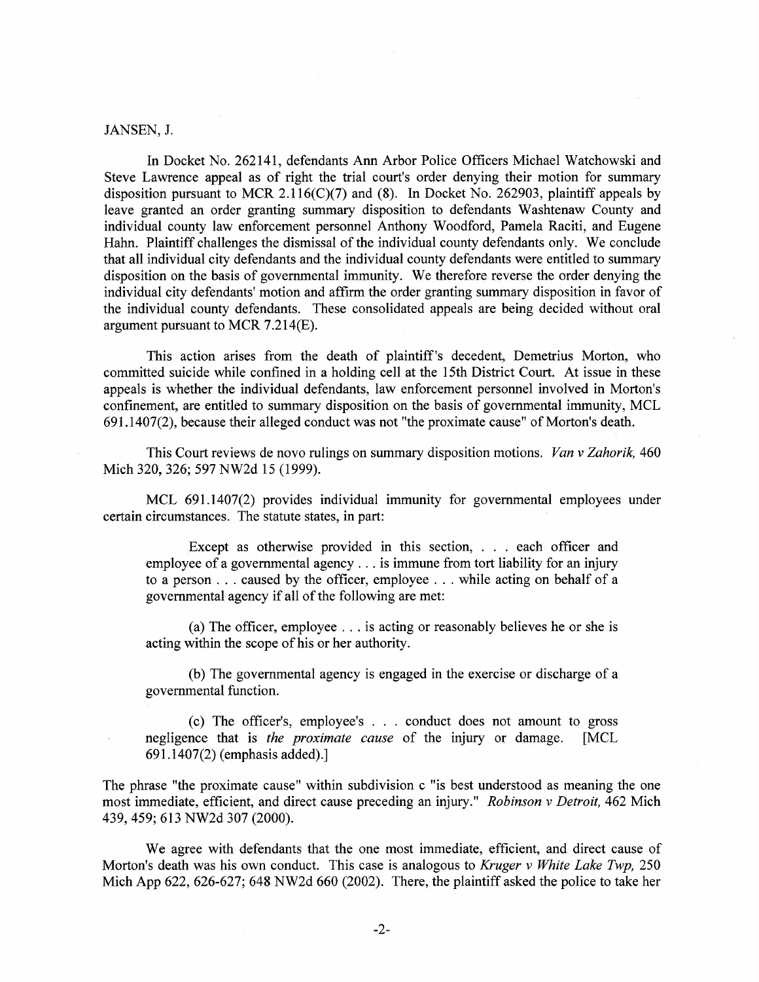#### JANSEN, 1.

In Docket No. 262141, defendants Ann Arbor Police Officers Michael Watchowski and Steve Lawrence appeal as of right the trial court's order denying their motion for summary disposition pursuant to MCR 2.116(C)(7) and (8). In Docket No. 262903, plaintiff appeals by leave granted an order granting summary disposition to defendants Washtenaw County and individual county law enforcement personnel Anthony Woodford, Pamela Raciti, and Eugene Hahn. Plaintiff challenges the dismissal of the individual county defendants only. We conclude that all individual city defendants and the individual county defendants were entitled to summary disposition on the basis of governmental immunity. We therefore reverse the order denying the individual city defendants' motion and affrm the order granting summary disposition in favor of the individual county defendants. These consolidated appeals are being decided without oral argument pursuant to MCR 7.214(E).

This action arises from the death of plaintiff's decedent, Demetrius Morton, who committed suicide while confined in a holding cell at the 15th District Court. At issue in these appeals is whether the individual defendants, law enforcement personnel involved in Morton's confinement, are entitled to summary disposition on the basis of governmental immunity, MCL 691.1407(2), because their alleged conduct was not "the proximate cause" of Morton's death.

This Court reviews de novo rulings on summary disposition motions. *Van v Zahorik*, 460 Mich 320, 326; 597 NW2d 15 (1999).

MCL 691.1407(2) provides individual immunity for governmental employees under certain circumstances. The statute states, in part:

Except as otherwise provided in this section, . . . each officer and employee of a governmental agency. . . is immune from tort liability for an injury to a person . . . caused by the officer, employee . . . while acting on behalf of a governental agency if all of the following are met:

(a) The officer, employee  $\ldots$  is acting or reasonably believes he or she is acting within the scope of his or her authority.

(b) The governmental agency is engaged in the exercise or discharge of a governmental function.

(c) The officer's, employee's  $\ldots$  conduct does not amount to gross note that is *the proximate cause* of the injury or damage. [MCL negligence that is the proximate cause of the injury or damage. 691.1407(2) (emphasis added).)

The phrase "the proximate cause" within subdivision c "is best understood as meaning the one most immediate, efficient, and direct cause preceding an injury." Robinson v Detroit, 462 Mich 439,459; 613 NW2d 307 (2000).

We agree with defendants that the one most immediate, efficient, and direct cause of Morton's death was his own conduct. This case is analogous to Kruger v White Lake Twp, 250 Mich App 622, 626-627; 648 NW2d 660 (2002). There, the plaintiff asked the police to take her